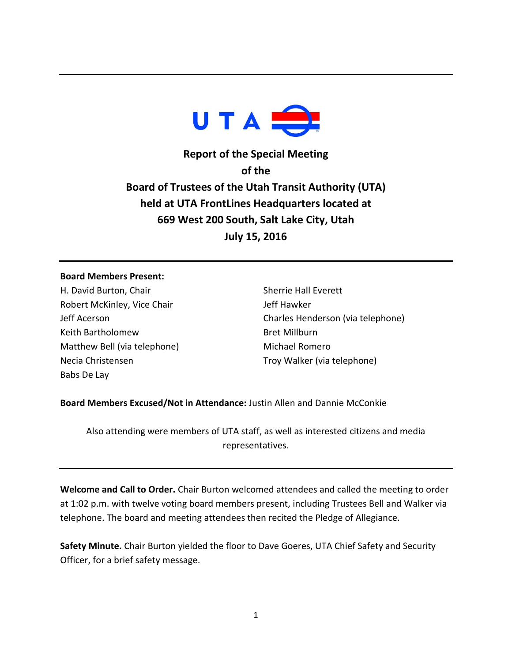

**Report of the Special Meeting of the Board of Trustees of the Utah Transit Authority (UTA) held at UTA FrontLines Headquarters located at 669 West 200 South, Salt Lake City, Utah July 15, 2016**

## **Board Members Present:**

H. David Burton, Chair Robert McKinley, Vice Chair Jeff Acerson Keith Bartholomew Matthew Bell (via telephone) Necia Christensen Babs De Lay

Sherrie Hall Everett Jeff Hawker Charles Henderson (via telephone) Bret Millburn Michael Romero Troy Walker (via telephone)

**Board Members Excused/Not in Attendance:** Justin Allen and Dannie McConkie

Also attending were members of UTA staff, as well as interested citizens and media representatives.

**Welcome and Call to Order.** Chair Burton welcomed attendees and called the meeting to order at 1:02 p.m. with twelve voting board members present, including Trustees Bell and Walker via telephone. The board and meeting attendees then recited the Pledge of Allegiance.

**Safety Minute.** Chair Burton yielded the floor to Dave Goeres, UTA Chief Safety and Security Officer, for a brief safety message.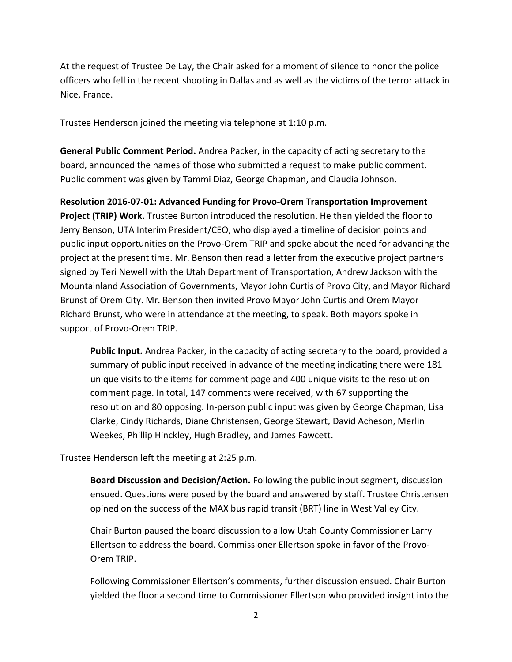At the request of Trustee De Lay, the Chair asked for a moment of silence to honor the police officers who fell in the recent shooting in Dallas and as well as the victims of the terror attack in Nice, France.

Trustee Henderson joined the meeting via telephone at 1:10 p.m.

**General Public Comment Period.** Andrea Packer, in the capacity of acting secretary to the board, announced the names of those who submitted a request to make public comment. Public comment was given by Tammi Diaz, George Chapman, and Claudia Johnson.

**Resolution 2016-07-01: Advanced Funding for Provo-Orem Transportation Improvement Project (TRIP) Work.** Trustee Burton introduced the resolution. He then yielded the floor to Jerry Benson, UTA Interim President/CEO, who displayed a timeline of decision points and public input opportunities on the Provo-Orem TRIP and spoke about the need for advancing the project at the present time. Mr. Benson then read a letter from the executive project partners signed by Teri Newell with the Utah Department of Transportation, Andrew Jackson with the Mountainland Association of Governments, Mayor John Curtis of Provo City, and Mayor Richard Brunst of Orem City. Mr. Benson then invited Provo Mayor John Curtis and Orem Mayor Richard Brunst, who were in attendance at the meeting, to speak. Both mayors spoke in support of Provo-Orem TRIP.

**Public Input.** Andrea Packer, in the capacity of acting secretary to the board, provided a summary of public input received in advance of the meeting indicating there were 181 unique visits to the items for comment page and 400 unique visits to the resolution comment page. In total, 147 comments were received, with 67 supporting the resolution and 80 opposing. In-person public input was given by George Chapman, Lisa Clarke, Cindy Richards, Diane Christensen, George Stewart, David Acheson, Merlin Weekes, Phillip Hinckley, Hugh Bradley, and James Fawcett.

Trustee Henderson left the meeting at 2:25 p.m.

**Board Discussion and Decision/Action.** Following the public input segment, discussion ensued. Questions were posed by the board and answered by staff. Trustee Christensen opined on the success of the MAX bus rapid transit (BRT) line in West Valley City.

Chair Burton paused the board discussion to allow Utah County Commissioner Larry Ellertson to address the board. Commissioner Ellertson spoke in favor of the Provo-Orem TRIP.

Following Commissioner Ellertson's comments, further discussion ensued. Chair Burton yielded the floor a second time to Commissioner Ellertson who provided insight into the